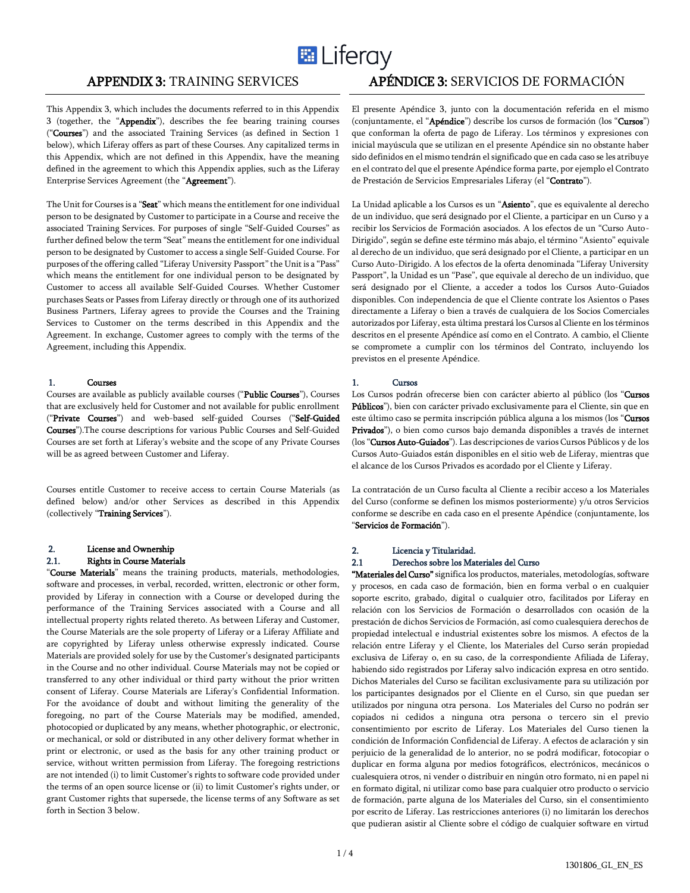

#### This Appendix 3, which includes the documents referred to in this Appendix 3 (together, the "Appendix"), describes the fee bearing training courses ("Courses") and the associated Training Services (as defined in Section 1 below), which Liferay offers as part of these Courses. Any capitalized terms in this Appendix, which are not defined in this Appendix, have the meaning defined in the agreement to which this Appendix applies, such as the Liferay Enterprise Services Agreement (the "Agreement").

The Unit for Courses is a "Seat" which means the entitlement for one individual person to be designated by Customer to participate in a Course and receive the associated Training Services. For purposes of single "Self-Guided Courses" as further defined below the term "Seat" means the entitlement for one individual person to be designated by Customer to access a single Self-Guided Course. For purposes of the offering called "Liferay University Passport" the Unit is a "Pass" which means the entitlement for one individual person to be designated by Customer to access all available Self-Guided Courses. Whether Customer purchases Seats or Passes from Liferay directly or through one of its authorized Business Partners, Liferay agrees to provide the Courses and the Training Services to Customer on the terms described in this Appendix and the Agreement. In exchange, Customer agrees to comply with the terms of the Agreement, including this Appendix.

#### 1. Courses

Courses are available as publicly available courses ("Public Courses"), Courses that are exclusively held for Customer and not available for public enrollment ("Private Courses") and web-based self-guided Courses ("Self-Guided Courses").The course descriptions for various Public Courses and Self-Guided Courses are set forth at Liferay's website and the scope of any Private Courses will be as agreed between Customer and Liferay.

Courses entitle Customer to receive access to certain Course Materials (as defined below) and/or other Services as described in this Appendix (collectively "Training Services").

# 2. License and Ownership

# 2.1. Rights in Course Materials

"Course Materials" means the training products, materials, methodologies, software and processes, in verbal, recorded, written, electronic or other form, provided by Liferay in connection with a Course or developed during the performance of the Training Services associated with a Course and all intellectual property rights related thereto. As between Liferay and Customer, the Course Materials are the sole property of Liferay or a Liferay Affiliate and are copyrighted by Liferay unless otherwise expressly indicated. Course Materials are provided solely for use by the Customer's designated participants in the Course and no other individual. Course Materials may not be copied or transferred to any other individual or third party without the prior written consent of Liferay. Course Materials are Liferay's Confidential Information. For the avoidance of doubt and without limiting the generality of the foregoing, no part of the Course Materials may be modified, amended, photocopied or duplicated by any means, whether photographic, or electronic, or mechanical, or sold or distributed in any other delivery format whether in print or electronic, or used as the basis for any other training product or service, without written permission from Liferay. The foregoing restrictions are not intended (i) to limit Customer's rights to software code provided under the terms of an open source license or (ii) to limit Customer's rights under, or grant Customer rights that supersede, the license terms of any Software as set forth in Section 3 below.

# APPENDIX 3: TRAINING SERVICES APÉNDICE 3: SERVICIOS DE FORMACIÓN

El presente Apéndice 3, junto con la documentación referida en el mismo (conjuntamente, el "Apéndice") describe los cursos de formación (los "Cursos") que conforman la oferta de pago de Liferay. Los términos y expresiones con inicial mayúscula que se utilizan en el presente Apéndice sin no obstante haber sido definidos en el mismo tendrán el significado que en cada caso se les atribuye en el contrato del que el presente Apéndice forma parte, por ejemplo el Contrato de Prestación de Servicios Empresariales Liferay (el "Contrato").

La Unidad aplicable a los Cursos es un "Asiento", que es equivalente al derecho de un individuo, que será designado por el Cliente, a participar en un Curso y a recibir los Servicios de Formación asociados. A los efectos de un "Curso Auto-Dirigido", según se define este término más abajo, el término "Asiento" equivale al derecho de un individuo, que será designado por el Cliente, a participar en un Curso Auto-Dirigido. A los efectos de la oferta denominada "Liferay University Passport", la Unidad es un "Pase", que equivale al derecho de un individuo, que será designado por el Cliente, a acceder a todos los Cursos Auto-Guiados disponibles. Con independencia de que el Cliente contrate los Asientos o Pases directamente a Liferay o bien a través de cualquiera de los Socios Comerciales autorizados por Liferay, esta última prestará los Cursos al Cliente en los términos descritos en el presente Apéndice así como en el Contrato. A cambio, el Cliente se compromete a cumplir con los términos del Contrato, incluyendo los previstos en el presente Apéndice.

#### 1. Cursos

Los Cursos podrán ofrecerse bien con carácter abierto al público (los "Cursos Públicos"), bien con carácter privado exclusivamente para el Cliente, sin que en este último caso se permita inscripción pública alguna a los mismos (los "Cursos Privados"), o bien como cursos bajo demanda disponibles a través de internet (los "Cursos Auto-Guiados"). Las descripciones de varios Cursos Públicos y de los Cursos Auto-Guiados están disponibles en el sitio web de Liferay, mientras que el alcance de los Cursos Privados es acordado por el Cliente y Liferay.

La contratación de un Curso faculta al Cliente a recibir acceso a los Materiales del Curso (conforme se definen los mismos posteriormente) y/u otros Servicios conforme se describe en cada caso en el presente Apéndice (conjuntamente, los "Servicios de Formación").

#### 2. Licencia y Titularidad.

#### 2.1 Derechos sobre los Materiales del Curso

"Materiales del Curso" significa los productos, materiales, metodologías, software y procesos, en cada caso de formación, bien en forma verbal o en cualquier soporte escrito, grabado, digital o cualquier otro, facilitados por Liferay en relación con los Servicios de Formación o desarrollados con ocasión de la prestación de dichos Servicios de Formación, así como cualesquiera derechos de propiedad intelectual e industrial existentes sobre los mismos. A efectos de la relación entre Liferay y el Cliente, los Materiales del Curso serán propiedad exclusiva de Liferay o, en su caso, de la correspondiente Afiliada de Liferay, habiendo sido registrados por Liferay salvo indicación expresa en otro sentido. Dichos Materiales del Curso se facilitan exclusivamente para su utilización por los participantes designados por el Cliente en el Curso, sin que puedan ser utilizados por ninguna otra persona. Los Materiales del Curso no podrán ser copiados ni cedidos a ninguna otra persona o tercero sin el previo consentimiento por escrito de Liferay. Los Materiales del Curso tienen la condición de Información Confidencial de Liferay. A efectos de aclaración y sin perjuicio de la generalidad de lo anterior, no se podrá modificar, fotocopiar o duplicar en forma alguna por medios fotográficos, electrónicos, mecánicos o cualesquiera otros, ni vender o distribuir en ningún otro formato, ni en papel ni en formato digital, ni utilizar como base para cualquier otro producto o servicio de formación, parte alguna de los Materiales del Curso, sin el consentimiento por escrito de Liferay. Las restricciones anteriores (i) no limitarán los derechos que pudieran asistir al Cliente sobre el código de cualquier software en virtud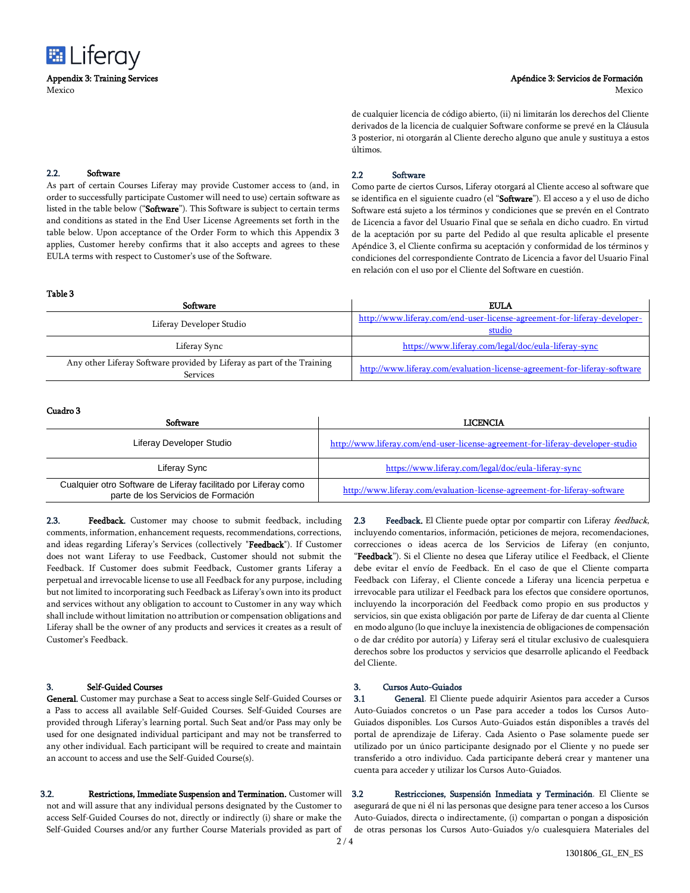

#### Apéndice 3: Servicios de Formación

Mexico

de cualquier licencia de código abierto, (ii) ni limitarán los derechos del Cliente derivados de la licencia de cualquier Software conforme se prevé en la Cláusula 3 posterior, ni otorgarán al Cliente derecho alguno que anule y sustituya a estos últimos.

#### 2.2. Software

As part of certain Courses Liferay may provide Customer access to (and, in order to successfully participate Customer will need to use) certain software as listed in the table below ("Software"). This Software is subject to certain terms and conditions as stated in the End User License Agreements set forth in the table below. Upon acceptance of the Order Form to which this Appendix 3 applies, Customer hereby confirms that it also accepts and agrees to these EULA terms with respect to Customer's use of the Software.

#### 2.2 Software

Como parte de ciertos Cursos, Liferay otorgará al Cliente acceso al software que se identifica en el siguiente cuadro (el "Software"). El acceso a y el uso de dicho Software está sujeto a los términos y condiciones que se prevén en el Contrato de Licencia a favor del Usuario Final que se señala en dicho cuadro. En virtud de la aceptación por su parte del Pedido al que resulta aplicable el presente Apéndice 3, el Cliente confirma su aceptación y conformidad de los términos y condiciones del correspondiente Contrato de Licencia a favor del Usuario Final en relación con el uso por el Cliente del Software en cuestión.

| <b>Table 3</b>                                                                            |                                                                          |
|-------------------------------------------------------------------------------------------|--------------------------------------------------------------------------|
| Software                                                                                  | <b>EULA</b>                                                              |
| Liferay Developer Studio                                                                  | http://www.liferay.com/end-user-license-agreement-for-liferay-developer- |
|                                                                                           | studio                                                                   |
| Liferay Sync                                                                              | https://www.liferay.com/legal/doc/eula-liferay-sync                      |
| Any other Liferay Software provided by Liferay as part of the Training<br><b>Services</b> | http://www.liferay.com/evaluation-license-agreement-for-liferay-software |

#### Cuadro 3

| <b>Software</b>                                                                                       | <b>LICENCIA</b>                                                                |
|-------------------------------------------------------------------------------------------------------|--------------------------------------------------------------------------------|
| Liferay Developer Studio                                                                              | http://www.liferay.com/end-user-license-agreement-for-liferay-developer-studio |
| Liferay Sync                                                                                          | https://www.liferay.com/legal/doc/eula-liferay-sync                            |
| Cualquier otro Software de Liferay facilitado por Liferay como<br>parte de los Servicios de Formación | http://www.liferay.com/evaluation-license-agreement-for-liferay-software       |

2.3. Feedback. Customer may choose to submit feedback, including comments, information, enhancement requests, recommendations, corrections, and ideas regarding Liferay's Services (collectively "Feedback"). If Customer does not want Liferay to use Feedback, Customer should not submit the Feedback. If Customer does submit Feedback, Customer grants Liferay a perpetual and irrevocable license to use all Feedback for any purpose, including but not limited to incorporating such Feedback as Liferay's own into its product and services without any obligation to account to Customer in any way which shall include without limitation no attribution or compensation obligations and Liferay shall be the owner of any products and services it creates as a result of Customer's Feedback.

#### 3. Self-Guided Courses

General. Customer may purchase a Seat to access single Self-Guided Courses or a Pass to access all available Self-Guided Courses. Self-Guided Courses are provided through Liferay's learning portal. Such Seat and/or Pass may only be used for one designated individual participant and may not be transferred to any other individual. Each participant will be required to create and maintain an account to access and use the Self-Guided Course(s).

3.2. Restrictions, Immediate Suspension and Termination. Customer will not and will assure that any individual persons designated by the Customer to access Self-Guided Courses do not, directly or indirectly (i) share or make the Self-Guided Courses and/or any further Course Materials provided as part of

2.3 Feedback. El Cliente puede optar por compartir con Liferay feedback, incluyendo comentarios, información, peticiones de mejora, recomendaciones, correcciones o ideas acerca de los Servicios de Liferay (en conjunto, "Feedback"). Si el Cliente no desea que Liferay utilice el Feedback, el Cliente debe evitar el envío de Feedback. En el caso de que el Cliente comparta Feedback con Liferay, el Cliente concede a Liferay una licencia perpetua e irrevocable para utilizar el Feedback para los efectos que considere oportunos, incluyendo la incorporación del Feedback como propio en sus productos y servicios, sin que exista obligación por parte de Liferay de dar cuenta al Cliente en modo alguno (lo que incluye la inexistencia de obligaciones de compensación o de dar crédito por autoría) y Liferay será el titular exclusivo de cualesquiera derechos sobre los productos y servicios que desarrolle aplicando el Feedback del Cliente.

### 3. Cursos Auto-Guiados

3.1 General. El Cliente puede adquirir Asientos para acceder a Cursos Auto-Guiados concretos o un Pase para acceder a todos los Cursos Auto-Guiados disponibles. Los Cursos Auto-Guiados están disponibles a través del portal de aprendizaje de Liferay. Cada Asiento o Pase solamente puede ser utilizado por un único participante designado por el Cliente y no puede ser transferido a otro individuo. Cada participante deberá crear y mantener una cuenta para acceder y utilizar los Cursos Auto-Guiados.

3.2 Restricciones, Suspensión Inmediata y Terminación. El Cliente se asegurará de que ni él ni las personas que designe para tener acceso a los Cursos Auto-Guiados, directa o indirectamente, (i) compartan o pongan a disposición de otras personas los Cursos Auto-Guiados y/o cualesquiera Materiales del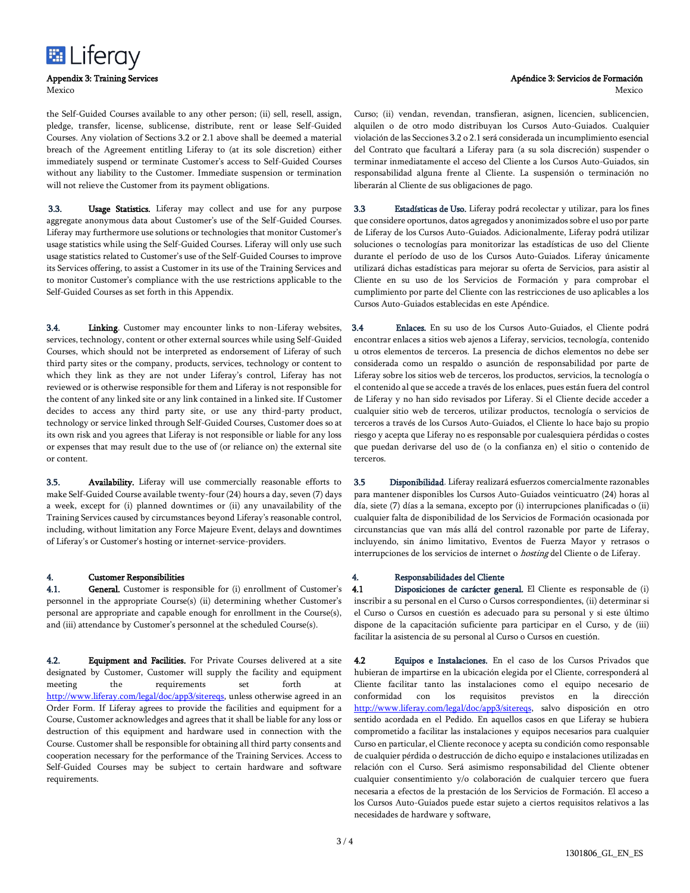

the Self-Guided Courses available to any other person; (ii) sell, resell, assign, pledge, transfer, license, sublicense, distribute, rent or lease Self-Guided Courses. Any violation of Sections 3.2 or 2.1 above shall be deemed a material breach of the Agreement entitling Liferay to (at its sole discretion) either immediately suspend or terminate Customer's access to Self-Guided Courses without any liability to the Customer. Immediate suspension or termination will not relieve the Customer from its payment obligations.

3.3. Usage Statistics. Liferay may collect and use for any purpose aggregate anonymous data about Customer's use of the Self-Guided Courses. Liferay may furthermore use solutions or technologies that monitor Customer's usage statistics while using the Self-Guided Courses. Liferay will only use such usage statistics related to Customer's use of the Self-Guided Courses to improve its Services offering, to assist a Customer in its use of the Training Services and to monitor Customer's compliance with the use restrictions applicable to the Self-Guided Courses as set forth in this Appendix.

3.4. Linking. Customer may encounter links to non-Liferay websites, services, technology, content or other external sources while using Self-Guided Courses, which should not be interpreted as endorsement of Liferay of such third party sites or the company, products, services, technology or content to which they link as they are not under Liferay's control, Liferay has not reviewed or is otherwise responsible for them and Liferay is not responsible for the content of any linked site or any link contained in a linked site. If Customer decides to access any third party site, or use any third-party product, technology or service linked through Self-Guided Courses, Customer does so at its own risk and you agrees that Liferay is not responsible or liable for any loss or expenses that may result due to the use of (or reliance on) the external site or content.

3.5. Availability. Liferay will use commercially reasonable efforts to make Self-Guided Course available twenty-four (24) hours a day, seven (7) days a week, except for (i) planned downtimes or (ii) any unavailability of the Training Services caused by circumstances beyond Liferay's reasonable control, including, without limitation any Force Majeure Event, delays and downtimes of Liferay's or Customer's hosting or internet-service-providers.

#### 4. Customer Responsibilities

4.1. General. Customer is responsible for (i) enrollment of Customer's personnel in the appropriate Course(s) (ii) determining whether Customer's personal are appropriate and capable enough for enrollment in the Course(s), and (iii) attendance by Customer's personnel at the scheduled Course(s).

4.2. **Equipment and Facilities.** For Private Courses delivered at a site designated by Customer, Customer will supply the facility and equipment meeting the requirements set forth at [http://www.liferay.com/legal/doc/app3/sitereqs,](https://www.liferay.com/legal/doc/app3/sitereqs) unless otherwise agreed in an Order Form. If Liferay agrees to provide the facilities and equipment for a Course, Customer acknowledges and agrees that it shall be liable for any loss or destruction of this equipment and hardware used in connection with the Course. Customer shall be responsible for obtaining all third party consents and cooperation necessary for the performance of the Training Services. Access to Self-Guided Courses may be subject to certain hardware and software requirements.

# Apéndice 3: Servicios de Formación

Mexico

Curso; (ii) vendan, revendan, transfieran, asignen, licencien, sublicencien, alquilen o de otro modo distribuyan los Cursos Auto-Guiados. Cualquier violación de las Secciones 3.2 o 2.1 será considerada un incumplimiento esencial del Contrato que facultará a Liferay para (a su sola discreción) suspender o terminar inmediatamente el acceso del Cliente a los Cursos Auto-Guiados, sin responsabilidad alguna frente al Cliente. La suspensión o terminación no liberarán al Cliente de sus obligaciones de pago.

3.3 Estadísticas de Uso. Liferay podrá recolectar y utilizar, para los fines que considere oportunos, datos agregados y anonimizados sobre el uso por parte de Liferay de los Cursos Auto-Guiados. Adicionalmente, Liferay podrá utilizar soluciones o tecnologías para monitorizar las estadísticas de uso del Cliente durante el período de uso de los Cursos Auto-Guiados. Liferay únicamente utilizará dichas estadísticas para mejorar su oferta de Servicios, para asistir al Cliente en su uso de los Servicios de Formación y para comprobar el cumplimiento por parte del Cliente con las restricciones de uso aplicables a los Cursos Auto-Guiados establecidas en este Apéndice.

3.4 Enlaces. En su uso de los Cursos Auto-Guiados, el Cliente podrá encontrar enlaces a sitios web ajenos a Liferay, servicios, tecnología, contenido u otros elementos de terceros. La presencia de dichos elementos no debe ser considerada como un respaldo o asunción de responsabilidad por parte de Liferay sobre los sitios web de terceros, los productos, servicios, la tecnología o el contenido al que se accede a través de los enlaces, pues están fuera del control de Liferay y no han sido revisados por Liferay. Si el Cliente decide acceder a cualquier sitio web de terceros, utilizar productos, tecnología o servicios de terceros a través de los Cursos Auto-Guiados, el Cliente lo hace bajo su propio riesgo y acepta que Liferay no es responsable por cualesquiera pérdidas o costes que puedan derivarse del uso de (o la confianza en) el sitio o contenido de terceros.

3.5 Disponibilidad. Liferay realizará esfuerzos comercialmente razonables para mantener disponibles los Cursos Auto-Guiados veinticuatro (24) horas al día, siete (7) días a la semana, excepto por (i) interrupciones planificadas o (ii) cualquier falta de disponibilidad de los Servicios de Formación ocasionada por circunstancias que van más allá del control razonable por parte de Liferay, incluyendo, sin ánimo limitativo, Eventos de Fuerza Mayor y retrasos o interrupciones de los servicios de internet o *hosting* del Cliente o de Liferay.

### 4. Responsabilidades del Cliente

4.1 Disposiciones de carácter general. El Cliente es responsable de (i) inscribir a su personal en el Curso o Cursos correspondientes, (ii) determinar si el Curso o Cursos en cuestión es adecuado para su personal y si este último dispone de la capacitación suficiente para participar en el Curso, y de (iii) facilitar la asistencia de su personal al Curso o Cursos en cuestión.

4.2 Equipos e Instalaciones. En el caso de los Cursos Privados que hubieran de impartirse en la ubicación elegida por el Cliente, corresponderá al Cliente facilitar tanto las instalaciones como el equipo necesario de conformidad con los requisitos previstos en la dirección [http://www.liferay.com/legal/doc/app3/sitereqs,](https://www.liferay.com/legal/doc/app3/sitereqs) salvo disposición en otro sentido acordada en el Pedido. En aquellos casos en que Liferay se hubiera comprometido a facilitar las instalaciones y equipos necesarios para cualquier Curso en particular, el Cliente reconoce y acepta su condición como responsable de cualquier pérdida o destrucción de dicho equipo e instalaciones utilizadas en relación con el Curso. Será asimismo responsabilidad del Cliente obtener cualquier consentimiento y/o colaboración de cualquier tercero que fuera necesaria a efectos de la prestación de los Servicios de Formación. El acceso a los Cursos Auto-Guiados puede estar sujeto a ciertos requisitos relativos a las necesidades de hardware y software,